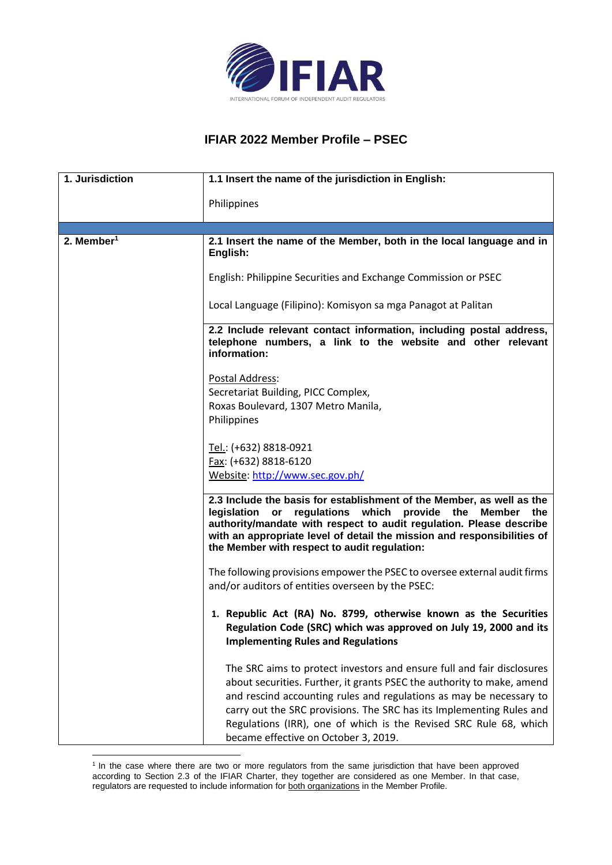

## **IFIAR 2022 Member Profile – PSEC**

| 1. Jurisdiction        | 1.1 Insert the name of the jurisdiction in English:                                                                                                                                                                                                                                                                                                                                                          |
|------------------------|--------------------------------------------------------------------------------------------------------------------------------------------------------------------------------------------------------------------------------------------------------------------------------------------------------------------------------------------------------------------------------------------------------------|
|                        | Philippines                                                                                                                                                                                                                                                                                                                                                                                                  |
|                        |                                                                                                                                                                                                                                                                                                                                                                                                              |
| 2. Member <sup>1</sup> | 2.1 Insert the name of the Member, both in the local language and in<br>English:                                                                                                                                                                                                                                                                                                                             |
|                        | English: Philippine Securities and Exchange Commission or PSEC                                                                                                                                                                                                                                                                                                                                               |
|                        | Local Language (Filipino): Komisyon sa mga Panagot at Palitan                                                                                                                                                                                                                                                                                                                                                |
|                        | 2.2 Include relevant contact information, including postal address,<br>telephone numbers, a link to the website and other relevant<br>information:                                                                                                                                                                                                                                                           |
|                        | Postal Address:                                                                                                                                                                                                                                                                                                                                                                                              |
|                        | Secretariat Building, PICC Complex,                                                                                                                                                                                                                                                                                                                                                                          |
|                        | Roxas Boulevard, 1307 Metro Manila,                                                                                                                                                                                                                                                                                                                                                                          |
|                        | Philippines                                                                                                                                                                                                                                                                                                                                                                                                  |
|                        | Tel.: (+632) 8818-0921                                                                                                                                                                                                                                                                                                                                                                                       |
|                        | Fax: (+632) 8818-6120                                                                                                                                                                                                                                                                                                                                                                                        |
|                        | Website: http://www.sec.gov.ph/                                                                                                                                                                                                                                                                                                                                                                              |
|                        | 2.3 Include the basis for establishment of the Member, as well as the<br>legislation or regulations which provide the Member<br>the<br>authority/mandate with respect to audit regulation. Please describe<br>with an appropriate level of detail the mission and responsibilities of<br>the Member with respect to audit regulation:                                                                        |
|                        | The following provisions empower the PSEC to oversee external audit firms<br>and/or auditors of entities overseen by the PSEC:                                                                                                                                                                                                                                                                               |
|                        | 1. Republic Act (RA) No. 8799, otherwise known as the Securities<br>Regulation Code (SRC) which was approved on July 19, 2000 and its<br><b>Implementing Rules and Regulations</b>                                                                                                                                                                                                                           |
|                        | The SRC aims to protect investors and ensure full and fair disclosures<br>about securities. Further, it grants PSEC the authority to make, amend<br>and rescind accounting rules and regulations as may be necessary to<br>carry out the SRC provisions. The SRC has its Implementing Rules and<br>Regulations (IRR), one of which is the Revised SRC Rule 68, which<br>became effective on October 3, 2019. |

<sup>&</sup>lt;sup>1</sup> In the case where there are two or more regulators from the same jurisdiction that have been approved according to Section 2.3 of the IFIAR Charter, they together are considered as one Member. In that case, regulators are requested to include information for both organizations in the Member Profile.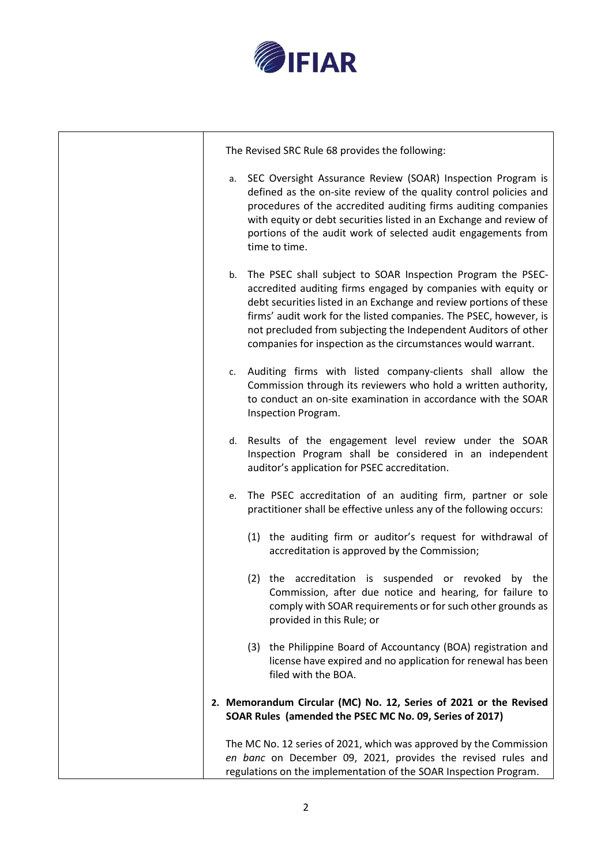

| The Revised SRC Rule 68 provides the following:                                                                                                                                                                                                                                                                                                                                                                  |
|------------------------------------------------------------------------------------------------------------------------------------------------------------------------------------------------------------------------------------------------------------------------------------------------------------------------------------------------------------------------------------------------------------------|
| SEC Oversight Assurance Review (SOAR) Inspection Program is<br>а.<br>defined as the on-site review of the quality control policies and<br>procedures of the accredited auditing firms auditing companies<br>with equity or debt securities listed in an Exchange and review of<br>portions of the audit work of selected audit engagements from<br>time to time.                                                 |
| The PSEC shall subject to SOAR Inspection Program the PSEC-<br>b.<br>accredited auditing firms engaged by companies with equity or<br>debt securities listed in an Exchange and review portions of these<br>firms' audit work for the listed companies. The PSEC, however, is<br>not precluded from subjecting the Independent Auditors of other<br>companies for inspection as the circumstances would warrant. |
| Auditing firms with listed company-clients shall allow the<br>c.<br>Commission through its reviewers who hold a written authority,<br>to conduct an on-site examination in accordance with the SOAR<br>Inspection Program.                                                                                                                                                                                       |
| Results of the engagement level review under the SOAR<br>d.<br>Inspection Program shall be considered in an independent<br>auditor's application for PSEC accreditation.                                                                                                                                                                                                                                         |
| The PSEC accreditation of an auditing firm, partner or sole<br>e.<br>practitioner shall be effective unless any of the following occurs:                                                                                                                                                                                                                                                                         |
| (1) the auditing firm or auditor's request for withdrawal of<br>accreditation is approved by the Commission;                                                                                                                                                                                                                                                                                                     |
| (2) the accreditation is suspended or revoked by the<br>Commission, after due notice and hearing, for failure to<br>comply with SOAR requirements or for such other grounds as<br>provided in this Rule; or                                                                                                                                                                                                      |
| the Philippine Board of Accountancy (BOA) registration and<br>(3)<br>license have expired and no application for renewal has been<br>filed with the BOA.                                                                                                                                                                                                                                                         |
| 2. Memorandum Circular (MC) No. 12, Series of 2021 or the Revised<br>SOAR Rules (amended the PSEC MC No. 09, Series of 2017)                                                                                                                                                                                                                                                                                     |
| The MC No. 12 series of 2021, which was approved by the Commission<br>en banc on December 09, 2021, provides the revised rules and<br>regulations on the implementation of the SOAR Inspection Program.                                                                                                                                                                                                          |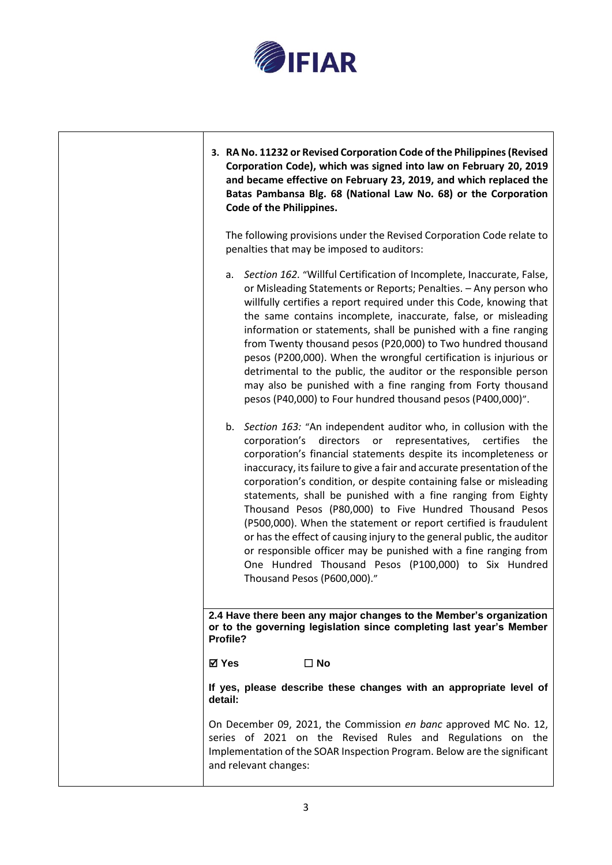

| 3. RA No. 11232 or Revised Corporation Code of the Philippines (Revised<br>Corporation Code), which was signed into law on February 20, 2019<br>and became effective on February 23, 2019, and which replaced the<br>Batas Pambansa Blg. 68 (National Law No. 68) or the Corporation<br>Code of the Philippines.                                                                                                                                                                                                                                                                                                                                                                                                                                                                               |
|------------------------------------------------------------------------------------------------------------------------------------------------------------------------------------------------------------------------------------------------------------------------------------------------------------------------------------------------------------------------------------------------------------------------------------------------------------------------------------------------------------------------------------------------------------------------------------------------------------------------------------------------------------------------------------------------------------------------------------------------------------------------------------------------|
| The following provisions under the Revised Corporation Code relate to<br>penalties that may be imposed to auditors:                                                                                                                                                                                                                                                                                                                                                                                                                                                                                                                                                                                                                                                                            |
| a. Section 162. "Willful Certification of Incomplete, Inaccurate, False,<br>or Misleading Statements or Reports; Penalties. - Any person who<br>willfully certifies a report required under this Code, knowing that<br>the same contains incomplete, inaccurate, false, or misleading<br>information or statements, shall be punished with a fine ranging<br>from Twenty thousand pesos (P20,000) to Two hundred thousand<br>pesos (P200,000). When the wrongful certification is injurious or<br>detrimental to the public, the auditor or the responsible person<br>may also be punished with a fine ranging from Forty thousand<br>pesos (P40,000) to Four hundred thousand pesos (P400,000)".                                                                                              |
| b. Section 163: "An independent auditor who, in collusion with the<br>directors or representatives, certifies<br>the<br>corporation's<br>corporation's financial statements despite its incompleteness or<br>inaccuracy, its failure to give a fair and accurate presentation of the<br>corporation's condition, or despite containing false or misleading<br>statements, shall be punished with a fine ranging from Eighty<br>Thousand Pesos (P80,000) to Five Hundred Thousand Pesos<br>(P500,000). When the statement or report certified is fraudulent<br>or has the effect of causing injury to the general public, the auditor<br>or responsible officer may be punished with a fine ranging from<br>One Hundred Thousand Pesos (P100,000) to Six Hundred<br>Thousand Pesos (P600,000)." |
| 2.4 Have there been any major changes to the Member's organization<br>or to the governing legislation since completing last year's Member<br>Profile?                                                                                                                                                                                                                                                                                                                                                                                                                                                                                                                                                                                                                                          |
| $\Box$ No<br>⊠ Yes                                                                                                                                                                                                                                                                                                                                                                                                                                                                                                                                                                                                                                                                                                                                                                             |
| If yes, please describe these changes with an appropriate level of<br>detail:                                                                                                                                                                                                                                                                                                                                                                                                                                                                                                                                                                                                                                                                                                                  |
| On December 09, 2021, the Commission en banc approved MC No. 12,<br>series of 2021 on the Revised Rules and Regulations on the<br>Implementation of the SOAR Inspection Program. Below are the significant<br>and relevant changes:                                                                                                                                                                                                                                                                                                                                                                                                                                                                                                                                                            |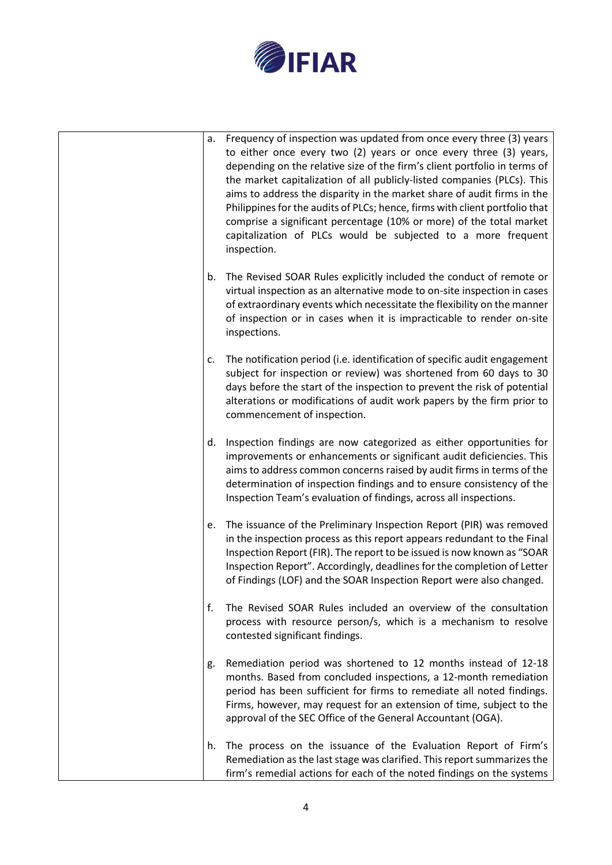

| a. | Frequency of inspection was updated from once every three (3) years<br>to either once every two (2) years or once every three (3) years,<br>depending on the relative size of the firm's client portfolio in terms of<br>the market capitalization of all publicly-listed companies (PLCs). This<br>aims to address the disparity in the market share of audit firms in the<br>Philippines for the audits of PLCs; hence, firms with client portfolio that<br>comprise a significant percentage (10% or more) of the total market<br>capitalization of PLCs would be subjected to a more frequent<br>inspection. |
|----|------------------------------------------------------------------------------------------------------------------------------------------------------------------------------------------------------------------------------------------------------------------------------------------------------------------------------------------------------------------------------------------------------------------------------------------------------------------------------------------------------------------------------------------------------------------------------------------------------------------|
| b. | The Revised SOAR Rules explicitly included the conduct of remote or<br>virtual inspection as an alternative mode to on-site inspection in cases<br>of extraordinary events which necessitate the flexibility on the manner<br>of inspection or in cases when it is impracticable to render on-site<br>inspections.                                                                                                                                                                                                                                                                                               |
| c. | The notification period (i.e. identification of specific audit engagement<br>subject for inspection or review) was shortened from 60 days to 30<br>days before the start of the inspection to prevent the risk of potential<br>alterations or modifications of audit work papers by the firm prior to<br>commencement of inspection.                                                                                                                                                                                                                                                                             |
| d. | Inspection findings are now categorized as either opportunities for<br>improvements or enhancements or significant audit deficiencies. This<br>aims to address common concerns raised by audit firms in terms of the<br>determination of inspection findings and to ensure consistency of the<br>Inspection Team's evaluation of findings, across all inspections.                                                                                                                                                                                                                                               |
| e. | The issuance of the Preliminary Inspection Report (PIR) was removed<br>in the inspection process as this report appears redundant to the Final<br>Inspection Report (FIR). The report to be issued is now known as "SOAR<br>Inspection Report". Accordingly, deadlines for the completion of Letter<br>of Findings (LOF) and the SOAR Inspection Report were also changed.                                                                                                                                                                                                                                       |
| f. | The Revised SOAR Rules included an overview of the consultation<br>process with resource person/s, which is a mechanism to resolve<br>contested significant findings.                                                                                                                                                                                                                                                                                                                                                                                                                                            |
| g. | Remediation period was shortened to 12 months instead of 12-18<br>months. Based from concluded inspections, a 12-month remediation<br>period has been sufficient for firms to remediate all noted findings.<br>Firms, however, may request for an extension of time, subject to the<br>approval of the SEC Office of the General Accountant (OGA).                                                                                                                                                                                                                                                               |
| h. | The process on the issuance of the Evaluation Report of Firm's<br>Remediation as the last stage was clarified. This report summarizes the<br>firm's remedial actions for each of the noted findings on the systems                                                                                                                                                                                                                                                                                                                                                                                               |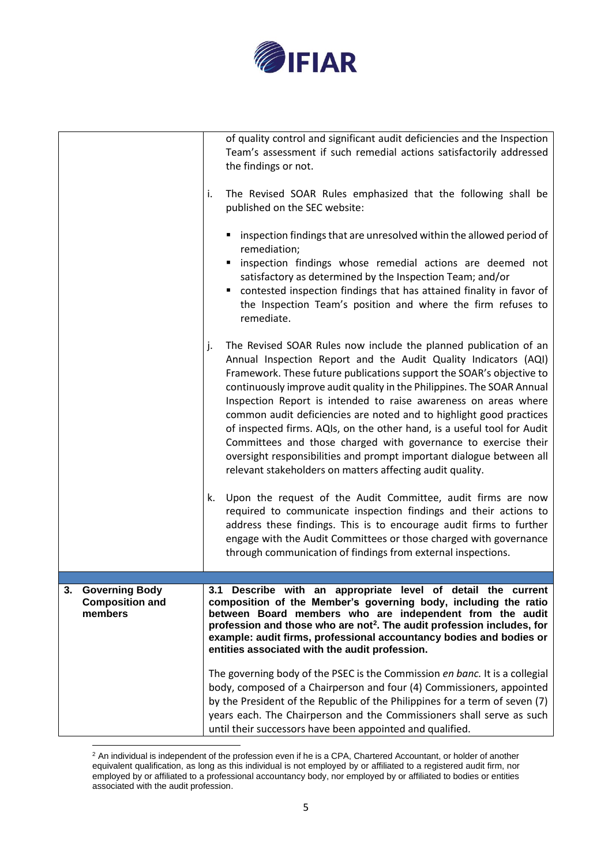

|                                                            | of quality control and significant audit deficiencies and the Inspection<br>Team's assessment if such remedial actions satisfactorily addressed<br>the findings or not.<br>The Revised SOAR Rules emphasized that the following shall be<br>i.<br>published on the SEC website:<br>inspection findings that are unresolved within the allowed period of<br>remediation;<br>inspection findings whose remedial actions are deemed not<br>satisfactory as determined by the Inspection Team; and/or<br>contested inspection findings that has attained finality in favor of<br>the Inspection Team's position and where the firm refuses to<br>remediate.                                                                                                                                                                                                                                                                                                                                                                                                                       |
|------------------------------------------------------------|-------------------------------------------------------------------------------------------------------------------------------------------------------------------------------------------------------------------------------------------------------------------------------------------------------------------------------------------------------------------------------------------------------------------------------------------------------------------------------------------------------------------------------------------------------------------------------------------------------------------------------------------------------------------------------------------------------------------------------------------------------------------------------------------------------------------------------------------------------------------------------------------------------------------------------------------------------------------------------------------------------------------------------------------------------------------------------|
|                                                            | The Revised SOAR Rules now include the planned publication of an<br>j.<br>Annual Inspection Report and the Audit Quality Indicators (AQI)<br>Framework. These future publications support the SOAR's objective to<br>continuously improve audit quality in the Philippines. The SOAR Annual<br>Inspection Report is intended to raise awareness on areas where<br>common audit deficiencies are noted and to highlight good practices<br>of inspected firms. AQIs, on the other hand, is a useful tool for Audit<br>Committees and those charged with governance to exercise their<br>oversight responsibilities and prompt important dialogue between all<br>relevant stakeholders on matters affecting audit quality.<br>Upon the request of the Audit Committee, audit firms are now<br>k.<br>required to communicate inspection findings and their actions to<br>address these findings. This is to encourage audit firms to further<br>engage with the Audit Committees or those charged with governance<br>through communication of findings from external inspections. |
|                                                            |                                                                                                                                                                                                                                                                                                                                                                                                                                                                                                                                                                                                                                                                                                                                                                                                                                                                                                                                                                                                                                                                               |
| <b>Governing Body</b><br><b>Composition and</b><br>members | 3.1 Describe with an appropriate level of detail the current<br>composition of the Member's governing body, including the ratio<br>between Board members who are independent from the audit<br>profession and those who are not <sup>2</sup> . The audit profession includes, for<br>example: audit firms, professional accountancy bodies and bodies or<br>entities associated with the audit profession.<br>The governing body of the PSEC is the Commission en banc. It is a collegial<br>body, composed of a Chairperson and four (4) Commissioners, appointed<br>by the President of the Republic of the Philippines for a term of seven (7)<br>years each. The Chairperson and the Commissioners shall serve as such<br>until their successors have been appointed and qualified.                                                                                                                                                                                                                                                                                       |

 $2$  An individual is independent of the profession even if he is a CPA, Chartered Accountant, or holder of another equivalent qualification, as long as this individual is not employed by or affiliated to a registered audit firm, nor employed by or affiliated to a professional accountancy body, nor employed by or affiliated to bodies or entities associated with the audit profession.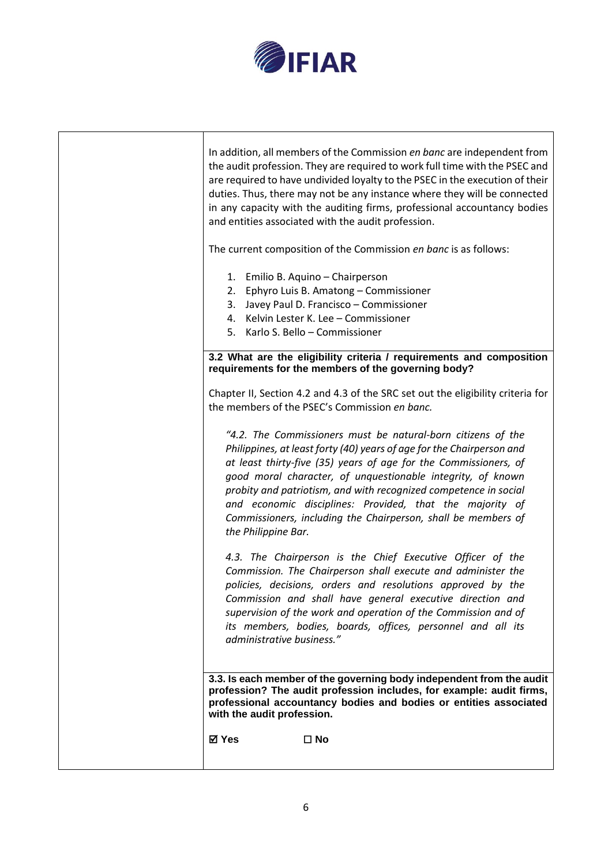

| In addition, all members of the Commission en banc are independent from<br>the audit profession. They are required to work full time with the PSEC and<br>are required to have undivided loyalty to the PSEC in the execution of their<br>duties. Thus, there may not be any instance where they will be connected<br>in any capacity with the auditing firms, professional accountancy bodies<br>and entities associated with the audit profession.                                             |
|--------------------------------------------------------------------------------------------------------------------------------------------------------------------------------------------------------------------------------------------------------------------------------------------------------------------------------------------------------------------------------------------------------------------------------------------------------------------------------------------------|
| The current composition of the Commission en banc is as follows:                                                                                                                                                                                                                                                                                                                                                                                                                                 |
| 1. Emilio B. Aquino - Chairperson<br>2. Ephyro Luis B. Amatong - Commissioner<br>3. Javey Paul D. Francisco - Commissioner<br>4. Kelvin Lester K. Lee - Commissioner<br>5. Karlo S. Bello - Commissioner                                                                                                                                                                                                                                                                                         |
| 3.2 What are the eligibility criteria / requirements and composition<br>requirements for the members of the governing body?                                                                                                                                                                                                                                                                                                                                                                      |
| Chapter II, Section 4.2 and 4.3 of the SRC set out the eligibility criteria for<br>the members of the PSEC's Commission en banc.                                                                                                                                                                                                                                                                                                                                                                 |
| "4.2. The Commissioners must be natural-born citizens of the<br>Philippines, at least forty (40) years of age for the Chairperson and<br>at least thirty-five (35) years of age for the Commissioners, of<br>good moral character, of unquestionable integrity, of known<br>probity and patriotism, and with recognized competence in social<br>and economic disciplines: Provided, that the majority of<br>Commissioners, including the Chairperson, shall be members of<br>the Philippine Bar. |
| 4.3. The Chairperson is the Chief Executive Officer of the<br>Commission. The Chairperson shall execute and administer the<br>policies, decisions, orders and resolutions approved by the<br>Commission and shall have general executive direction and<br>supervision of the work and operation of the Commission and of<br>its members, bodies, boards, offices, personnel and all its<br>administrative business."                                                                             |
| 3.3. Is each member of the governing body independent from the audit<br>profession? The audit profession includes, for example: audit firms,<br>professional accountancy bodies and bodies or entities associated<br>with the audit profession.                                                                                                                                                                                                                                                  |
| ⊠ Yes<br>$\square$ No                                                                                                                                                                                                                                                                                                                                                                                                                                                                            |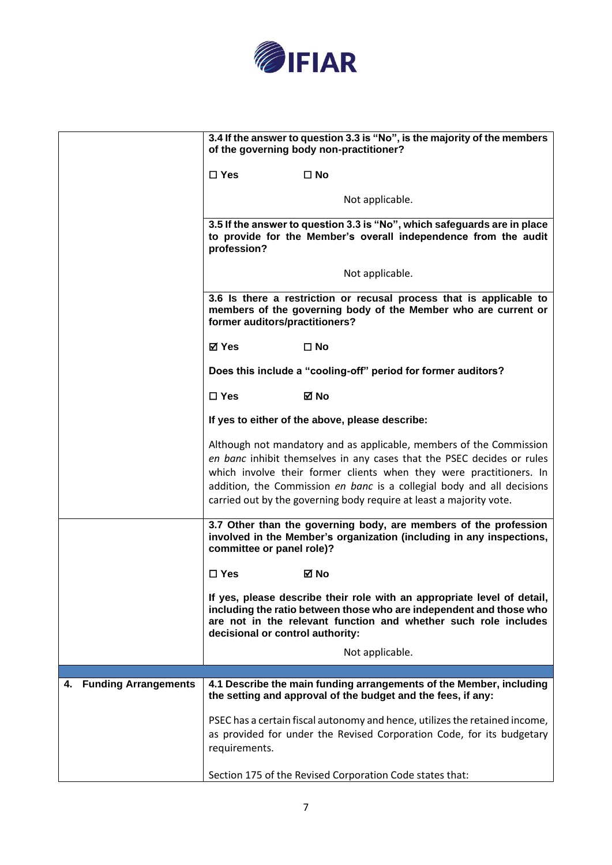

|                                   | 3.4 If the answer to question 3.3 is "No", is the majority of the members<br>of the governing body non-practitioner?                                                                                                                                                                                                                                                  |
|-----------------------------------|-----------------------------------------------------------------------------------------------------------------------------------------------------------------------------------------------------------------------------------------------------------------------------------------------------------------------------------------------------------------------|
|                                   | $\square$ Yes<br>$\square$ No                                                                                                                                                                                                                                                                                                                                         |
|                                   | Not applicable.                                                                                                                                                                                                                                                                                                                                                       |
|                                   | 3.5 If the answer to question 3.3 is "No", which safeguards are in place<br>to provide for the Member's overall independence from the audit<br>profession?                                                                                                                                                                                                            |
|                                   | Not applicable.                                                                                                                                                                                                                                                                                                                                                       |
|                                   | 3.6 Is there a restriction or recusal process that is applicable to<br>members of the governing body of the Member who are current or<br>former auditors/practitioners?                                                                                                                                                                                               |
|                                   | ⊠ Yes<br>$\square$ No                                                                                                                                                                                                                                                                                                                                                 |
|                                   | Does this include a "cooling-off" period for former auditors?                                                                                                                                                                                                                                                                                                         |
|                                   | $\Box$ Yes<br>⊠ No                                                                                                                                                                                                                                                                                                                                                    |
|                                   | If yes to either of the above, please describe:                                                                                                                                                                                                                                                                                                                       |
|                                   | Although not mandatory and as applicable, members of the Commission<br>en banc inhibit themselves in any cases that the PSEC decides or rules<br>which involve their former clients when they were practitioners. In<br>addition, the Commission en banc is a collegial body and all decisions<br>carried out by the governing body require at least a majority vote. |
|                                   | 3.7 Other than the governing body, are members of the profession<br>involved in the Member's organization (including in any inspections,<br>committee or panel role)?                                                                                                                                                                                                 |
|                                   | $\Box$ Yes<br>⊠ No                                                                                                                                                                                                                                                                                                                                                    |
|                                   | If yes, please describe their role with an appropriate level of detail,<br>including the ratio between those who are independent and those who<br>are not in the relevant function and whether such role includes<br>decisional or control authority:                                                                                                                 |
|                                   | Not applicable.                                                                                                                                                                                                                                                                                                                                                       |
|                                   |                                                                                                                                                                                                                                                                                                                                                                       |
| <b>Funding Arrangements</b><br>4. | 4.1 Describe the main funding arrangements of the Member, including<br>the setting and approval of the budget and the fees, if any:                                                                                                                                                                                                                                   |
|                                   | PSEC has a certain fiscal autonomy and hence, utilizes the retained income,<br>as provided for under the Revised Corporation Code, for its budgetary<br>requirements.                                                                                                                                                                                                 |
|                                   | Section 175 of the Revised Corporation Code states that:                                                                                                                                                                                                                                                                                                              |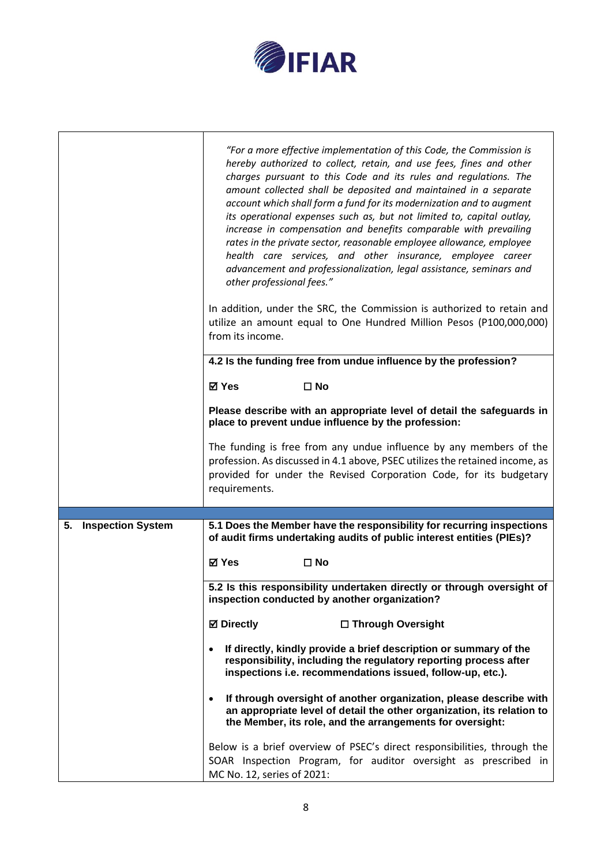

|                                | "For a more effective implementation of this Code, the Commission is<br>hereby authorized to collect, retain, and use fees, fines and other<br>charges pursuant to this Code and its rules and regulations. The<br>amount collected shall be deposited and maintained in a separate<br>account which shall form a fund for its modernization and to augment<br>its operational expenses such as, but not limited to, capital outlay,<br>increase in compensation and benefits comparable with prevailing<br>rates in the private sector, reasonable employee allowance, employee<br>health care services, and other insurance, employee career<br>advancement and professionalization, legal assistance, seminars and<br>other professional fees." |
|--------------------------------|----------------------------------------------------------------------------------------------------------------------------------------------------------------------------------------------------------------------------------------------------------------------------------------------------------------------------------------------------------------------------------------------------------------------------------------------------------------------------------------------------------------------------------------------------------------------------------------------------------------------------------------------------------------------------------------------------------------------------------------------------|
|                                | In addition, under the SRC, the Commission is authorized to retain and<br>utilize an amount equal to One Hundred Million Pesos (P100,000,000)<br>from its income.                                                                                                                                                                                                                                                                                                                                                                                                                                                                                                                                                                                  |
|                                | 4.2 Is the funding free from undue influence by the profession?                                                                                                                                                                                                                                                                                                                                                                                                                                                                                                                                                                                                                                                                                    |
|                                | <b>⊠</b> Yes<br>$\square$ No                                                                                                                                                                                                                                                                                                                                                                                                                                                                                                                                                                                                                                                                                                                       |
|                                | Please describe with an appropriate level of detail the safeguards in<br>place to prevent undue influence by the profession:                                                                                                                                                                                                                                                                                                                                                                                                                                                                                                                                                                                                                       |
|                                | The funding is free from any undue influence by any members of the<br>profession. As discussed in 4.1 above, PSEC utilizes the retained income, as<br>provided for under the Revised Corporation Code, for its budgetary<br>requirements.                                                                                                                                                                                                                                                                                                                                                                                                                                                                                                          |
|                                | 5.1 Does the Member have the responsibility for recurring inspections                                                                                                                                                                                                                                                                                                                                                                                                                                                                                                                                                                                                                                                                              |
| <b>Inspection System</b><br>5. | of audit firms undertaking audits of public interest entities (PIEs)?                                                                                                                                                                                                                                                                                                                                                                                                                                                                                                                                                                                                                                                                              |
|                                | <b>⊠</b> Yes<br>$\square$ No                                                                                                                                                                                                                                                                                                                                                                                                                                                                                                                                                                                                                                                                                                                       |
|                                | 5.2 Is this responsibility undertaken directly or through oversight of<br>inspection conducted by another organization?                                                                                                                                                                                                                                                                                                                                                                                                                                                                                                                                                                                                                            |
|                                | <b>⊠</b> Directly<br>□ Through Oversight                                                                                                                                                                                                                                                                                                                                                                                                                                                                                                                                                                                                                                                                                                           |
|                                | If directly, kindly provide a brief description or summary of the<br>responsibility, including the regulatory reporting process after<br>inspections i.e. recommendations issued, follow-up, etc.).                                                                                                                                                                                                                                                                                                                                                                                                                                                                                                                                                |
|                                | If through oversight of another organization, please describe with<br>an appropriate level of detail the other organization, its relation to<br>the Member, its role, and the arrangements for oversight:                                                                                                                                                                                                                                                                                                                                                                                                                                                                                                                                          |
|                                | Below is a brief overview of PSEC's direct responsibilities, through the<br>SOAR Inspection Program, for auditor oversight as prescribed in<br>MC No. 12, series of 2021:                                                                                                                                                                                                                                                                                                                                                                                                                                                                                                                                                                          |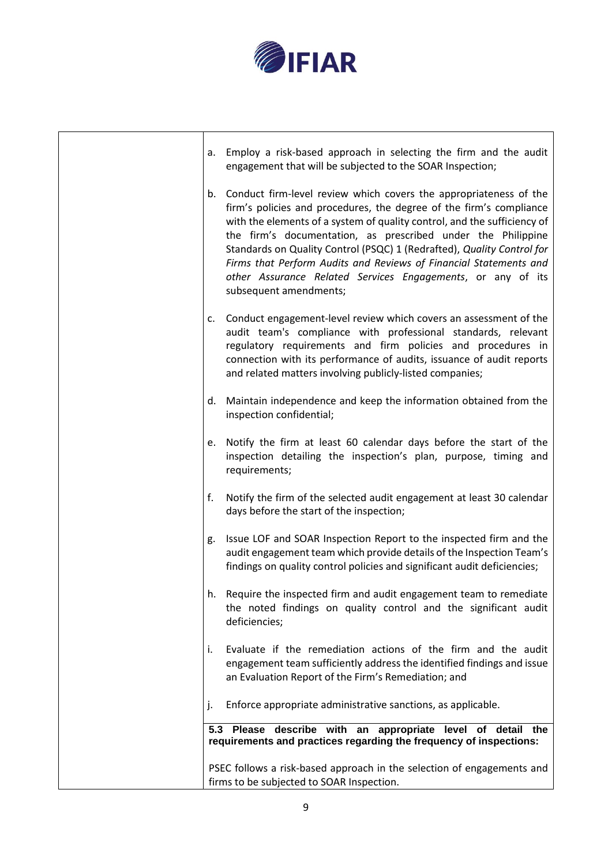

| а. | Employ a risk-based approach in selecting the firm and the audit<br>engagement that will be subjected to the SOAR Inspection;                                                                                                                                                                                                                                                                                                                                                                                                |
|----|------------------------------------------------------------------------------------------------------------------------------------------------------------------------------------------------------------------------------------------------------------------------------------------------------------------------------------------------------------------------------------------------------------------------------------------------------------------------------------------------------------------------------|
| b. | Conduct firm-level review which covers the appropriateness of the<br>firm's policies and procedures, the degree of the firm's compliance<br>with the elements of a system of quality control, and the sufficiency of<br>the firm's documentation, as prescribed under the Philippine<br>Standards on Quality Control (PSQC) 1 (Redrafted), Quality Control for<br>Firms that Perform Audits and Reviews of Financial Statements and<br>other Assurance Related Services Engagements, or any of its<br>subsequent amendments; |
| c. | Conduct engagement-level review which covers an assessment of the<br>audit team's compliance with professional standards, relevant<br>regulatory requirements and firm policies and procedures in<br>connection with its performance of audits, issuance of audit reports<br>and related matters involving publicly-listed companies;                                                                                                                                                                                        |
| d. | Maintain independence and keep the information obtained from the<br>inspection confidential;                                                                                                                                                                                                                                                                                                                                                                                                                                 |
| e. | Notify the firm at least 60 calendar days before the start of the<br>inspection detailing the inspection's plan, purpose, timing and<br>requirements;                                                                                                                                                                                                                                                                                                                                                                        |
| f. | Notify the firm of the selected audit engagement at least 30 calendar<br>days before the start of the inspection;                                                                                                                                                                                                                                                                                                                                                                                                            |
| g. | Issue LOF and SOAR Inspection Report to the inspected firm and the<br>audit engagement team which provide details of the Inspection Team's<br>findings on quality control policies and significant audit deficiencies;                                                                                                                                                                                                                                                                                                       |
| h. | Require the inspected firm and audit engagement team to remediate<br>the noted findings on quality control and the significant audit<br>deficiencies;                                                                                                                                                                                                                                                                                                                                                                        |
| İ. | Evaluate if the remediation actions of the firm and the audit<br>engagement team sufficiently address the identified findings and issue<br>an Evaluation Report of the Firm's Remediation; and                                                                                                                                                                                                                                                                                                                               |
| ı. | Enforce appropriate administrative sanctions, as applicable.                                                                                                                                                                                                                                                                                                                                                                                                                                                                 |
|    | 5.3 Please describe with an appropriate level of detail the<br>requirements and practices regarding the frequency of inspections:                                                                                                                                                                                                                                                                                                                                                                                            |
|    | PSEC follows a risk-based approach in the selection of engagements and<br>firms to be subjected to SOAR Inspection.                                                                                                                                                                                                                                                                                                                                                                                                          |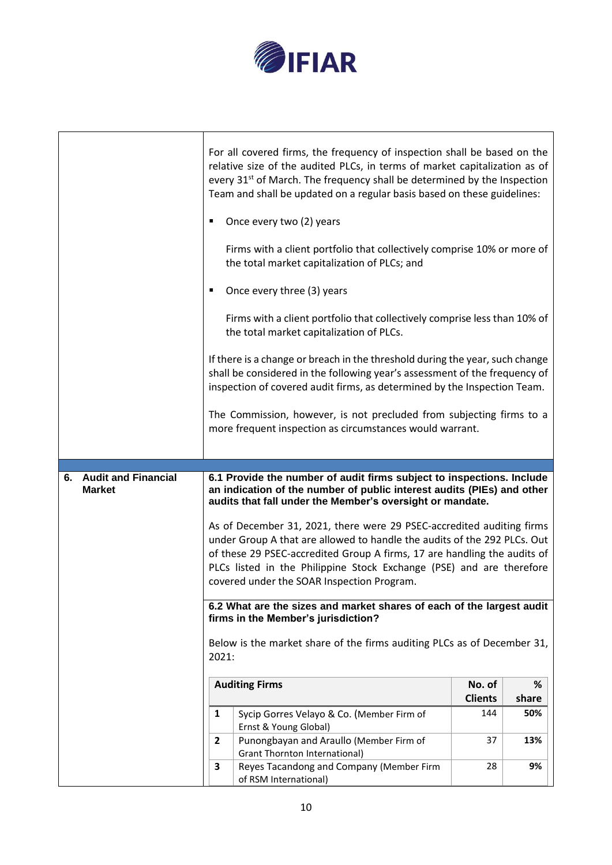

٦

 $\mathbf{r}$ 

|                                                   | For all covered firms, the frequency of inspection shall be based on the<br>relative size of the audited PLCs, in terms of market capitalization as of<br>every 31 <sup>st</sup> of March. The frequency shall be determined by the Inspection<br>Team and shall be updated on a regular basis based on these guidelines: |                |       |
|---------------------------------------------------|---------------------------------------------------------------------------------------------------------------------------------------------------------------------------------------------------------------------------------------------------------------------------------------------------------------------------|----------------|-------|
|                                                   | Once every two (2) years<br>٠                                                                                                                                                                                                                                                                                             |                |       |
|                                                   | Firms with a client portfolio that collectively comprise 10% or more of<br>the total market capitalization of PLCs; and                                                                                                                                                                                                   |                |       |
|                                                   | Once every three (3) years                                                                                                                                                                                                                                                                                                |                |       |
|                                                   | Firms with a client portfolio that collectively comprise less than 10% of<br>the total market capitalization of PLCs.                                                                                                                                                                                                     |                |       |
|                                                   | If there is a change or breach in the threshold during the year, such change<br>shall be considered in the following year's assessment of the frequency of<br>inspection of covered audit firms, as determined by the Inspection Team.                                                                                    |                |       |
|                                                   | The Commission, however, is not precluded from subjecting firms to a<br>more frequent inspection as circumstances would warrant.                                                                                                                                                                                          |                |       |
|                                                   |                                                                                                                                                                                                                                                                                                                           |                |       |
|                                                   |                                                                                                                                                                                                                                                                                                                           |                |       |
| <b>Audit and Financial</b><br>6.<br><b>Market</b> | 6.1 Provide the number of audit firms subject to inspections. Include<br>an indication of the number of public interest audits (PIEs) and other<br>audits that fall under the Member's oversight or mandate.                                                                                                              |                |       |
|                                                   | As of December 31, 2021, there were 29 PSEC-accredited auditing firms                                                                                                                                                                                                                                                     |                |       |
|                                                   | under Group A that are allowed to handle the audits of the 292 PLCs. Out                                                                                                                                                                                                                                                  |                |       |
|                                                   | of these 29 PSEC-accredited Group A firms, 17 are handling the audits of                                                                                                                                                                                                                                                  |                |       |
|                                                   | PLCs listed in the Philippine Stock Exchange (PSE) and are therefore<br>covered under the SOAR Inspection Program.                                                                                                                                                                                                        |                |       |
|                                                   |                                                                                                                                                                                                                                                                                                                           |                |       |
|                                                   | 6.2 What are the sizes and market shares of each of the largest audit<br>firms in the Member's jurisdiction?                                                                                                                                                                                                              |                |       |
|                                                   | Below is the market share of the firms auditing PLCs as of December 31,<br>2021:                                                                                                                                                                                                                                          |                |       |
|                                                   | <b>Auditing Firms</b>                                                                                                                                                                                                                                                                                                     | No. of         | %     |
|                                                   |                                                                                                                                                                                                                                                                                                                           | <b>Clients</b> | share |
|                                                   | 1<br>Sycip Gorres Velayo & Co. (Member Firm of<br>Ernst & Young Global)                                                                                                                                                                                                                                                   | 144            | 50%   |
|                                                   | Punongbayan and Araullo (Member Firm of<br>$\overline{2}$<br><b>Grant Thornton International)</b>                                                                                                                                                                                                                         | 37             | 13%   |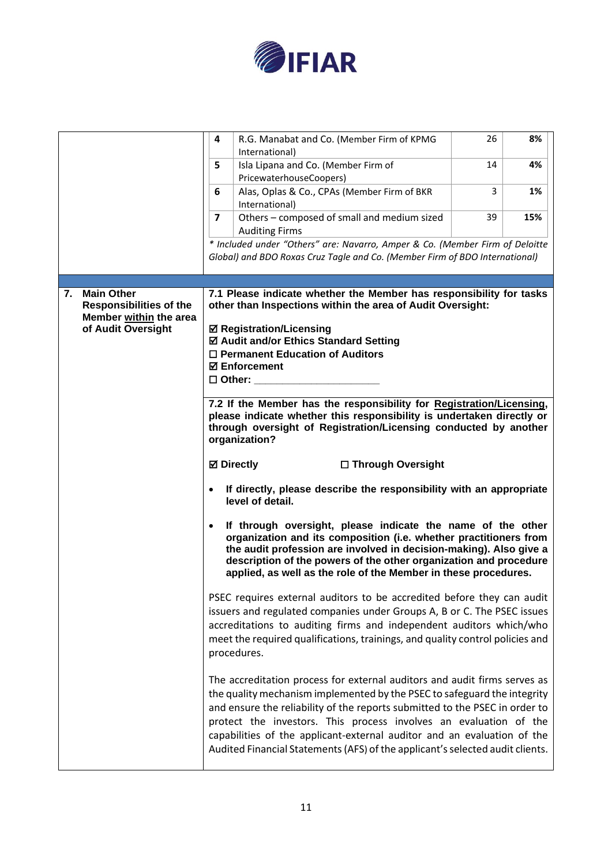

|    |                                                                               | 4<br>R.G. Manabat and Co. (Member Firm of KPMG<br>International)                                                                                                                                                                                                                                                                                                                                                                                                      | 26 | 8%  |
|----|-------------------------------------------------------------------------------|-----------------------------------------------------------------------------------------------------------------------------------------------------------------------------------------------------------------------------------------------------------------------------------------------------------------------------------------------------------------------------------------------------------------------------------------------------------------------|----|-----|
|    |                                                                               | Isla Lipana and Co. (Member Firm of<br>5<br>PricewaterhouseCoopers)                                                                                                                                                                                                                                                                                                                                                                                                   | 14 | 4%  |
|    |                                                                               | Alas, Oplas & Co., CPAs (Member Firm of BKR<br>6<br>International)                                                                                                                                                                                                                                                                                                                                                                                                    | 3  | 1%  |
|    |                                                                               | $\overline{\mathbf{z}}$<br>Others - composed of small and medium sized<br><b>Auditing Firms</b>                                                                                                                                                                                                                                                                                                                                                                       | 39 | 15% |
|    |                                                                               | * Included under "Others" are: Navarro, Amper & Co. (Member Firm of Deloitte                                                                                                                                                                                                                                                                                                                                                                                          |    |     |
|    |                                                                               | Global) and BDO Roxas Cruz Tagle and Co. (Member Firm of BDO International)                                                                                                                                                                                                                                                                                                                                                                                           |    |     |
|    |                                                                               |                                                                                                                                                                                                                                                                                                                                                                                                                                                                       |    |     |
| 7. | <b>Main Other</b><br><b>Responsibilities of the</b><br>Member within the area | 7.1 Please indicate whether the Member has responsibility for tasks<br>other than Inspections within the area of Audit Oversight:                                                                                                                                                                                                                                                                                                                                     |    |     |
|    | of Audit Oversight                                                            | <b>☑ Registration/Licensing</b><br>☑ Audit and/or Ethics Standard Setting                                                                                                                                                                                                                                                                                                                                                                                             |    |     |
|    |                                                                               | $\Box$ Permanent Education of Auditors                                                                                                                                                                                                                                                                                                                                                                                                                                |    |     |
|    |                                                                               | <b>⊠</b> Enforcement                                                                                                                                                                                                                                                                                                                                                                                                                                                  |    |     |
|    |                                                                               | $\square$ Other:                                                                                                                                                                                                                                                                                                                                                                                                                                                      |    |     |
|    |                                                                               | 7.2 If the Member has the responsibility for Registration/Licensing,                                                                                                                                                                                                                                                                                                                                                                                                  |    |     |
|    |                                                                               | please indicate whether this responsibility is undertaken directly or                                                                                                                                                                                                                                                                                                                                                                                                 |    |     |
|    |                                                                               | through oversight of Registration/Licensing conducted by another                                                                                                                                                                                                                                                                                                                                                                                                      |    |     |
|    |                                                                               | organization?                                                                                                                                                                                                                                                                                                                                                                                                                                                         |    |     |
|    |                                                                               | <b>⊠</b> Directly<br>□ Through Oversight                                                                                                                                                                                                                                                                                                                                                                                                                              |    |     |
|    |                                                                               | If directly, please describe the responsibility with an appropriate<br>level of detail.                                                                                                                                                                                                                                                                                                                                                                               |    |     |
|    |                                                                               | If through oversight, please indicate the name of the other<br>organization and its composition (i.e. whether practitioners from<br>the audit profession are involved in decision-making). Also give a<br>description of the powers of the other organization and procedure<br>applied, as well as the role of the Member in these procedures.                                                                                                                        |    |     |
|    |                                                                               | PSEC requires external auditors to be accredited before they can audit<br>issuers and regulated companies under Groups A, B or C. The PSEC issues<br>accreditations to auditing firms and independent auditors which/who<br>meet the required qualifications, trainings, and quality control policies and<br>procedures.                                                                                                                                              |    |     |
|    |                                                                               | The accreditation process for external auditors and audit firms serves as<br>the quality mechanism implemented by the PSEC to safeguard the integrity<br>and ensure the reliability of the reports submitted to the PSEC in order to<br>protect the investors. This process involves an evaluation of the<br>capabilities of the applicant-external auditor and an evaluation of the<br>Audited Financial Statements (AFS) of the applicant's selected audit clients. |    |     |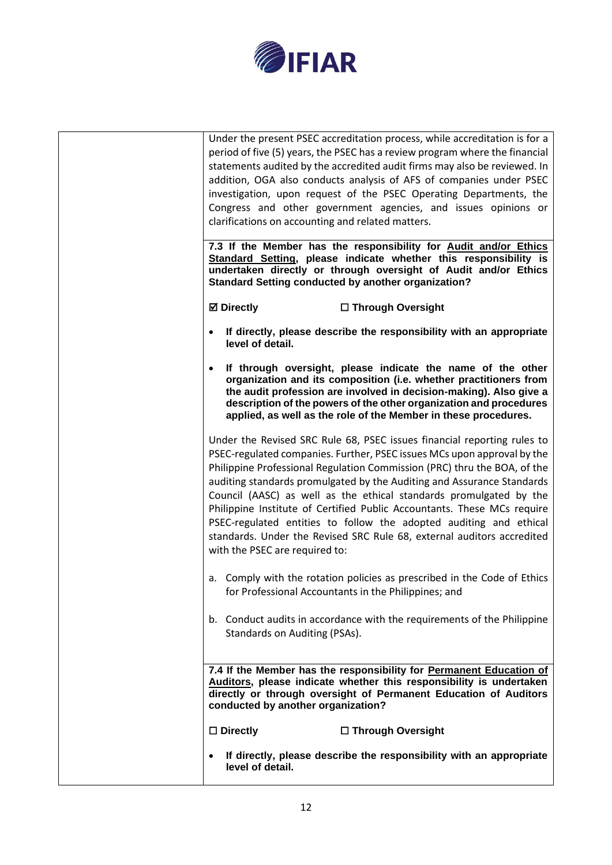

| Congress and other government agencies, and issues opinions or<br>clarifications on accounting and related matters.<br>7.3 If the Member has the responsibility for Audit and/or Ethics<br>Standard Setting, please indicate whether this responsibility is<br>undertaken directly or through oversight of Audit and/or Ethics<br><b>Standard Setting conducted by another organization?</b><br><b>Ø</b> Directly<br>□ Through Oversight                                                                                                                                                                                                    |
|---------------------------------------------------------------------------------------------------------------------------------------------------------------------------------------------------------------------------------------------------------------------------------------------------------------------------------------------------------------------------------------------------------------------------------------------------------------------------------------------------------------------------------------------------------------------------------------------------------------------------------------------|
| If directly, please describe the responsibility with an appropriate<br>level of detail.                                                                                                                                                                                                                                                                                                                                                                                                                                                                                                                                                     |
| If through oversight, please indicate the name of the other<br>organization and its composition (i.e. whether practitioners from<br>the audit profession are involved in decision-making). Also give a<br>description of the powers of the other organization and procedures<br>applied, as well as the role of the Member in these procedures.                                                                                                                                                                                                                                                                                             |
| Under the Revised SRC Rule 68, PSEC issues financial reporting rules to<br>PSEC-regulated companies. Further, PSEC issues MCs upon approval by the<br>Philippine Professional Regulation Commission (PRC) thru the BOA, of the<br>auditing standards promulgated by the Auditing and Assurance Standards<br>Council (AASC) as well as the ethical standards promulgated by the<br>Philippine Institute of Certified Public Accountants. These MCs require<br>PSEC-regulated entities to follow the adopted auditing and ethical<br>standards. Under the Revised SRC Rule 68, external auditors accredited<br>with the PSEC are required to: |
| a. Comply with the rotation policies as prescribed in the Code of Ethics<br>for Professional Accountants in the Philippines; and                                                                                                                                                                                                                                                                                                                                                                                                                                                                                                            |
| b. Conduct audits in accordance with the requirements of the Philippine<br>Standards on Auditing (PSAs).                                                                                                                                                                                                                                                                                                                                                                                                                                                                                                                                    |
| 7.4 If the Member has the responsibility for Permanent Education of<br>Auditors, please indicate whether this responsibility is undertaken<br>directly or through oversight of Permanent Education of Auditors<br>conducted by another organization?                                                                                                                                                                                                                                                                                                                                                                                        |
| $\square$ Directly<br>□ Through Oversight                                                                                                                                                                                                                                                                                                                                                                                                                                                                                                                                                                                                   |
| If directly, please describe the responsibility with an appropriate<br>level of detail.                                                                                                                                                                                                                                                                                                                                                                                                                                                                                                                                                     |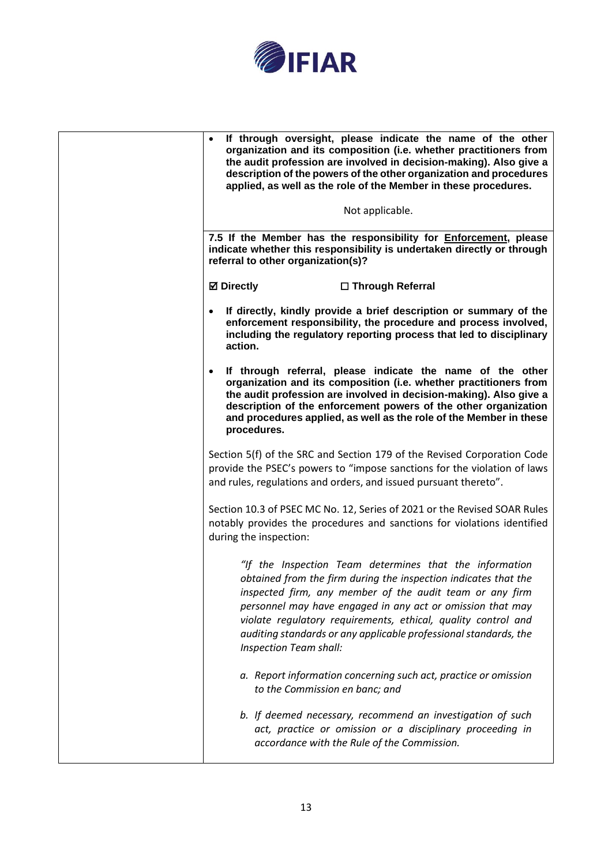

| If through oversight, please indicate the name of the other<br>organization and its composition (i.e. whether practitioners from<br>the audit profession are involved in decision-making). Also give a<br>description of the powers of the other organization and procedures<br>applied, as well as the role of the Member in these procedures.                                                                     |
|---------------------------------------------------------------------------------------------------------------------------------------------------------------------------------------------------------------------------------------------------------------------------------------------------------------------------------------------------------------------------------------------------------------------|
| Not applicable.                                                                                                                                                                                                                                                                                                                                                                                                     |
| 7.5 If the Member has the responsibility for Enforcement, please<br>indicate whether this responsibility is undertaken directly or through<br>referral to other organization(s)?                                                                                                                                                                                                                                    |
| <b>Ø</b> Directly<br>□ Through Referral                                                                                                                                                                                                                                                                                                                                                                             |
| If directly, kindly provide a brief description or summary of the<br>enforcement responsibility, the procedure and process involved,<br>including the regulatory reporting process that led to disciplinary<br>action.                                                                                                                                                                                              |
| If through referral, please indicate the name of the other<br>$\bullet$<br>organization and its composition (i.e. whether practitioners from<br>the audit profession are involved in decision-making). Also give a<br>description of the enforcement powers of the other organization<br>and procedures applied, as well as the role of the Member in these<br>procedures.                                          |
| Section 5(f) of the SRC and Section 179 of the Revised Corporation Code<br>provide the PSEC's powers to "impose sanctions for the violation of laws<br>and rules, regulations and orders, and issued pursuant thereto".                                                                                                                                                                                             |
| Section 10.3 of PSEC MC No. 12, Series of 2021 or the Revised SOAR Rules<br>notably provides the procedures and sanctions for violations identified<br>during the inspection:                                                                                                                                                                                                                                       |
| "If the Inspection Team determines that the information<br>obtained from the firm during the inspection indicates that the<br>inspected firm, any member of the audit team or any firm<br>personnel may have engaged in any act or omission that may<br>violate regulatory requirements, ethical, quality control and<br>auditing standards or any applicable professional standards, the<br>Inspection Team shall: |
| a. Report information concerning such act, practice or omission<br>to the Commission en banc; and                                                                                                                                                                                                                                                                                                                   |
| b. If deemed necessary, recommend an investigation of such<br>act, practice or omission or a disciplinary proceeding in<br>accordance with the Rule of the Commission.                                                                                                                                                                                                                                              |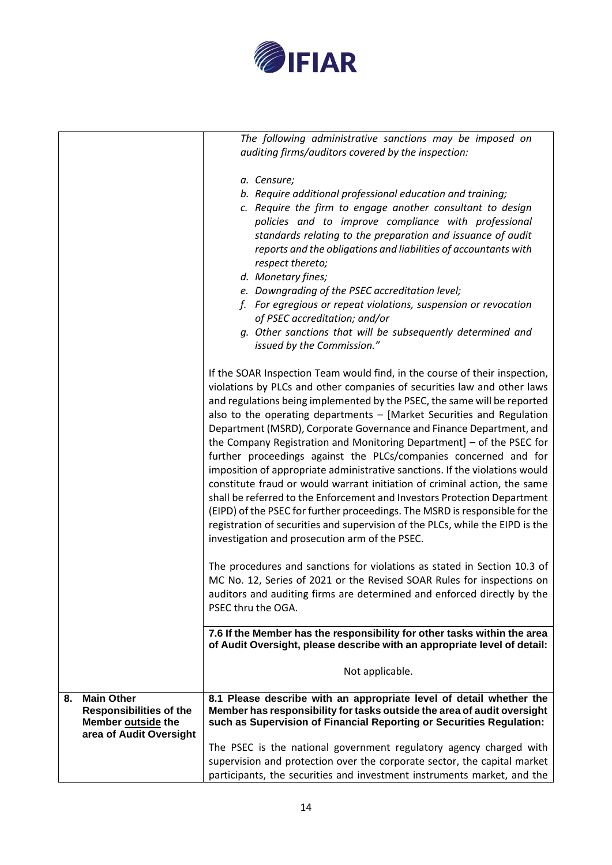

|    |                                                                                                      | The following administrative sanctions may be imposed on<br>auditing firms/auditors covered by the inspection:                                                                                                                                                                                                                                                                                                                                                                                                                                                                                                                                                                                                                                                                                                                                                                                                                                                                             |
|----|------------------------------------------------------------------------------------------------------|--------------------------------------------------------------------------------------------------------------------------------------------------------------------------------------------------------------------------------------------------------------------------------------------------------------------------------------------------------------------------------------------------------------------------------------------------------------------------------------------------------------------------------------------------------------------------------------------------------------------------------------------------------------------------------------------------------------------------------------------------------------------------------------------------------------------------------------------------------------------------------------------------------------------------------------------------------------------------------------------|
|    |                                                                                                      | a. Censure;<br>b. Require additional professional education and training;<br>c. Require the firm to engage another consultant to design<br>policies and to improve compliance with professional<br>standards relating to the preparation and issuance of audit<br>reports and the obligations and liabilities of accountants with<br>respect thereto;<br>d. Monetary fines;<br>e. Downgrading of the PSEC accreditation level;<br>f. For egregious or repeat violations, suspension or revocation<br>of PSEC accreditation; and/or<br>g. Other sanctions that will be subsequently determined and<br>issued by the Commission."                                                                                                                                                                                                                                                                                                                                                            |
|    |                                                                                                      | If the SOAR Inspection Team would find, in the course of their inspection,<br>violations by PLCs and other companies of securities law and other laws<br>and regulations being implemented by the PSEC, the same will be reported<br>also to the operating departments - [Market Securities and Regulation<br>Department (MSRD), Corporate Governance and Finance Department, and<br>the Company Registration and Monitoring Department] $-$ of the PSEC for<br>further proceedings against the PLCs/companies concerned and for<br>imposition of appropriate administrative sanctions. If the violations would<br>constitute fraud or would warrant initiation of criminal action, the same<br>shall be referred to the Enforcement and Investors Protection Department<br>(EIPD) of the PSEC for further proceedings. The MSRD is responsible for the<br>registration of securities and supervision of the PLCs, while the EIPD is the<br>investigation and prosecution arm of the PSEC. |
|    |                                                                                                      | The procedures and sanctions for violations as stated in Section 10.3 of<br>MC No. 12, Series of 2021 or the Revised SOAR Rules for inspections on<br>auditors and auditing firms are determined and enforced directly by the<br>PSEC thru the OGA.                                                                                                                                                                                                                                                                                                                                                                                                                                                                                                                                                                                                                                                                                                                                        |
|    |                                                                                                      | 7.6 If the Member has the responsibility for other tasks within the area<br>of Audit Oversight, please describe with an appropriate level of detail:                                                                                                                                                                                                                                                                                                                                                                                                                                                                                                                                                                                                                                                                                                                                                                                                                                       |
|    |                                                                                                      | Not applicable.                                                                                                                                                                                                                                                                                                                                                                                                                                                                                                                                                                                                                                                                                                                                                                                                                                                                                                                                                                            |
| 8. | <b>Main Other</b><br><b>Responsibilities of the</b><br>Member outside the<br>area of Audit Oversight | 8.1 Please describe with an appropriate level of detail whether the<br>Member has responsibility for tasks outside the area of audit oversight<br>such as Supervision of Financial Reporting or Securities Regulation:                                                                                                                                                                                                                                                                                                                                                                                                                                                                                                                                                                                                                                                                                                                                                                     |
|    |                                                                                                      | The PSEC is the national government regulatory agency charged with                                                                                                                                                                                                                                                                                                                                                                                                                                                                                                                                                                                                                                                                                                                                                                                                                                                                                                                         |
|    |                                                                                                      | supervision and protection over the corporate sector, the capital market                                                                                                                                                                                                                                                                                                                                                                                                                                                                                                                                                                                                                                                                                                                                                                                                                                                                                                                   |
|    |                                                                                                      | participants, the securities and investment instruments market, and the                                                                                                                                                                                                                                                                                                                                                                                                                                                                                                                                                                                                                                                                                                                                                                                                                                                                                                                    |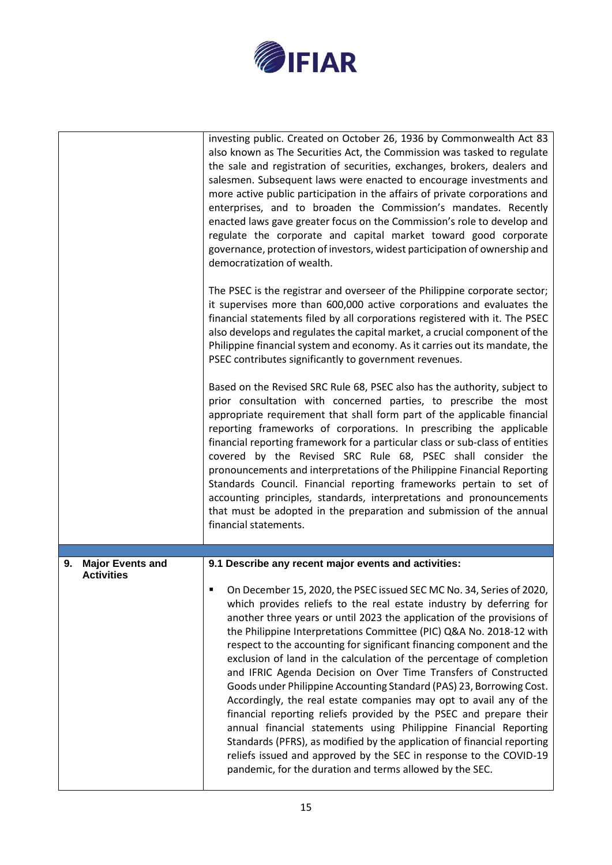

|                                                    | investing public. Created on October 26, 1936 by Commonwealth Act 83<br>also known as The Securities Act, the Commission was tasked to regulate<br>the sale and registration of securities, exchanges, brokers, dealers and<br>salesmen. Subsequent laws were enacted to encourage investments and<br>more active public participation in the affairs of private corporations and<br>enterprises, and to broaden the Commission's mandates. Recently<br>enacted laws gave greater focus on the Commission's role to develop and<br>regulate the corporate and capital market toward good corporate<br>governance, protection of investors, widest participation of ownership and<br>democratization of wealth.                                                                                                                                                                                                                                                                                                        |
|----------------------------------------------------|-----------------------------------------------------------------------------------------------------------------------------------------------------------------------------------------------------------------------------------------------------------------------------------------------------------------------------------------------------------------------------------------------------------------------------------------------------------------------------------------------------------------------------------------------------------------------------------------------------------------------------------------------------------------------------------------------------------------------------------------------------------------------------------------------------------------------------------------------------------------------------------------------------------------------------------------------------------------------------------------------------------------------|
|                                                    | The PSEC is the registrar and overseer of the Philippine corporate sector;<br>it supervises more than 600,000 active corporations and evaluates the<br>financial statements filed by all corporations registered with it. The PSEC<br>also develops and regulates the capital market, a crucial component of the<br>Philippine financial system and economy. As it carries out its mandate, the<br>PSEC contributes significantly to government revenues.                                                                                                                                                                                                                                                                                                                                                                                                                                                                                                                                                             |
|                                                    | Based on the Revised SRC Rule 68, PSEC also has the authority, subject to<br>prior consultation with concerned parties, to prescribe the most<br>appropriate requirement that shall form part of the applicable financial<br>reporting frameworks of corporations. In prescribing the applicable<br>financial reporting framework for a particular class or sub-class of entities<br>covered by the Revised SRC Rule 68, PSEC shall consider the<br>pronouncements and interpretations of the Philippine Financial Reporting<br>Standards Council. Financial reporting frameworks pertain to set of<br>accounting principles, standards, interpretations and pronouncements<br>that must be adopted in the preparation and submission of the annual<br>financial statements.                                                                                                                                                                                                                                          |
|                                                    |                                                                                                                                                                                                                                                                                                                                                                                                                                                                                                                                                                                                                                                                                                                                                                                                                                                                                                                                                                                                                       |
| <b>Major Events and</b><br>9.<br><b>Activities</b> | 9.1 Describe any recent major events and activities:                                                                                                                                                                                                                                                                                                                                                                                                                                                                                                                                                                                                                                                                                                                                                                                                                                                                                                                                                                  |
|                                                    | On December 15, 2020, the PSEC issued SEC MC No. 34, Series of 2020,<br>which provides reliefs to the real estate industry by deferring for<br>another three years or until 2023 the application of the provisions of<br>the Philippine Interpretations Committee (PIC) Q&A No. 2018-12 with<br>respect to the accounting for significant financing component and the<br>exclusion of land in the calculation of the percentage of completion<br>and IFRIC Agenda Decision on Over Time Transfers of Constructed<br>Goods under Philippine Accounting Standard (PAS) 23, Borrowing Cost.<br>Accordingly, the real estate companies may opt to avail any of the<br>financial reporting reliefs provided by the PSEC and prepare their<br>annual financial statements using Philippine Financial Reporting<br>Standards (PFRS), as modified by the application of financial reporting<br>reliefs issued and approved by the SEC in response to the COVID-19<br>pandemic, for the duration and terms allowed by the SEC. |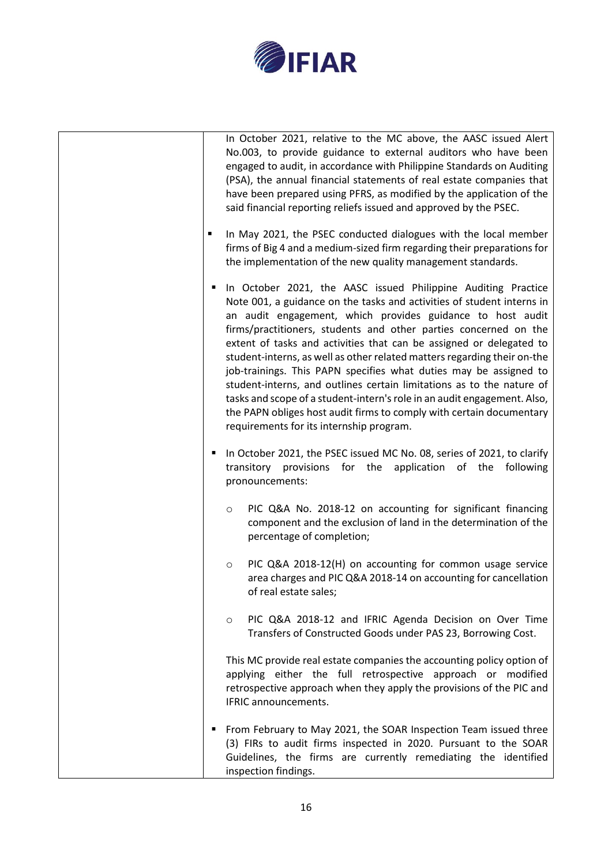

|   | In October 2021, relative to the MC above, the AASC issued Alert<br>No.003, to provide guidance to external auditors who have been<br>engaged to audit, in accordance with Philippine Standards on Auditing<br>(PSA), the annual financial statements of real estate companies that<br>have been prepared using PFRS, as modified by the application of the<br>said financial reporting reliefs issued and approved by the PSEC.                                                                                                                                                                                                                                                                                                                                           |
|---|----------------------------------------------------------------------------------------------------------------------------------------------------------------------------------------------------------------------------------------------------------------------------------------------------------------------------------------------------------------------------------------------------------------------------------------------------------------------------------------------------------------------------------------------------------------------------------------------------------------------------------------------------------------------------------------------------------------------------------------------------------------------------|
|   | In May 2021, the PSEC conducted dialogues with the local member<br>firms of Big 4 and a medium-sized firm regarding their preparations for<br>the implementation of the new quality management standards.                                                                                                                                                                                                                                                                                                                                                                                                                                                                                                                                                                  |
| ٠ | In October 2021, the AASC issued Philippine Auditing Practice<br>Note 001, a guidance on the tasks and activities of student interns in<br>an audit engagement, which provides guidance to host audit<br>firms/practitioners, students and other parties concerned on the<br>extent of tasks and activities that can be assigned or delegated to<br>student-interns, as well as other related matters regarding their on-the<br>job-trainings. This PAPN specifies what duties may be assigned to<br>student-interns, and outlines certain limitations as to the nature of<br>tasks and scope of a student-intern's role in an audit engagement. Also,<br>the PAPN obliges host audit firms to comply with certain documentary<br>requirements for its internship program. |
| п | In October 2021, the PSEC issued MC No. 08, series of 2021, to clarify<br>provisions for the application of the following<br>transitory<br>pronouncements:                                                                                                                                                                                                                                                                                                                                                                                                                                                                                                                                                                                                                 |
|   | PIC Q&A No. 2018-12 on accounting for significant financing<br>$\circ$<br>component and the exclusion of land in the determination of the<br>percentage of completion;                                                                                                                                                                                                                                                                                                                                                                                                                                                                                                                                                                                                     |
|   | PIC Q&A 2018-12(H) on accounting for common usage service<br>$\circ$<br>area charges and PIC Q&A 2018-14 on accounting for cancellation<br>of real estate sales;                                                                                                                                                                                                                                                                                                                                                                                                                                                                                                                                                                                                           |
|   | PIC Q&A 2018-12 and IFRIC Agenda Decision on Over Time<br>$\circ$<br>Transfers of Constructed Goods under PAS 23, Borrowing Cost.                                                                                                                                                                                                                                                                                                                                                                                                                                                                                                                                                                                                                                          |
|   | This MC provide real estate companies the accounting policy option of<br>applying either the full retrospective approach or modified<br>retrospective approach when they apply the provisions of the PIC and<br>IFRIC announcements.                                                                                                                                                                                                                                                                                                                                                                                                                                                                                                                                       |
|   | From February to May 2021, the SOAR Inspection Team issued three<br>(3) FIRs to audit firms inspected in 2020. Pursuant to the SOAR<br>Guidelines, the firms are currently remediating the identified<br>inspection findings.                                                                                                                                                                                                                                                                                                                                                                                                                                                                                                                                              |